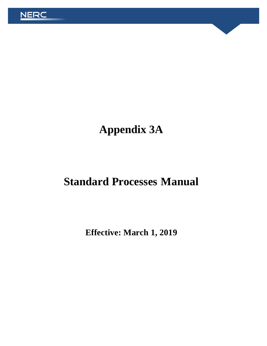

# **Appendix 3A**

# **Standard Processes Manual**

**Effective: March 1, 2019**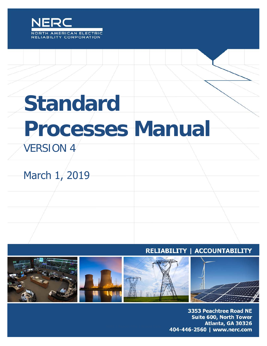

# **Standard Processes Manual**

# VERSION 4

# March 1, 2019

#### RELIABILITY | ACCOUNTABILITY



3353 Peachtree Road NE Suite 600, North Tower Atlanta, GA 30326 404-446-2560 | www.nerc.com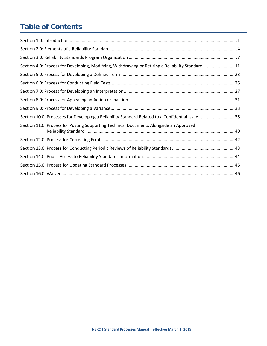# **Table of Contents**

| Section 4.0: Process for Developing, Modifying, Withdrawing or Retiring a Reliability Standard 11 |  |
|---------------------------------------------------------------------------------------------------|--|
|                                                                                                   |  |
|                                                                                                   |  |
|                                                                                                   |  |
|                                                                                                   |  |
|                                                                                                   |  |
| Section 10.0: Processes for Developing a Reliability Standard Related to a Confidential Issue35   |  |
| Section 11.0: Process for Posting Supporting Technical Documents Alongside an Approved            |  |
|                                                                                                   |  |
|                                                                                                   |  |
|                                                                                                   |  |
|                                                                                                   |  |
|                                                                                                   |  |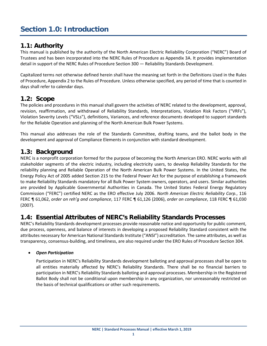# <span id="page-3-0"></span>**Section 1.0: Introduction**

#### **1.1: Authority**

This manual is published by the authority of the North American Electric Reliability Corporation ("NERC") Board of Trustees and has been incorporated into the NERC Rules of Procedure as Appendix 3A. It provides implementation detail in support of the NERC Rules of Procedure Section 300 — Reliability Standards Development.

Capitalized terms not otherwise defined herein shall have the meaning set forth in the Definitions Used in the Rules of Procedure, Appendix 2 to the Rules of Procedure. Unless otherwise specified, any period of time that is counted in days shall refer to calendar days.

#### **1.2: Scope**

The policies and procedures in this manual shall govern the activities of NERC related to the development, approval, revision, reaffirmation, and withdrawal of Reliability Standards, Interpretations, Violation Risk Factors ("VRFs"), Violation Severity Levels ("VSLs"), definitions, Variances, and reference documents developed to support standards for the Reliable Operation and planning of the North American Bulk Power Systems.

This manual also addresses the role of the Standards Committee, drafting teams, and the ballot body in the development and approval of Compliance Elements in conjunction with standard development.

#### **1.3: Background**

NERC is a nonprofit corporation formed for the purpose of becoming the North American ERO. NERC works with all stakeholder segments of the electric industry, including electricity users, to develop Reliability Standards for the reliability planning and Reliable Operation of the North American Bulk Power Systems. In the United States, the Energy Policy Act of 2005 added Section 215 to the Federal Power Act for the purpose of establishing a framework to make Reliability Standards mandatory for all Bulk Power System owners, operators, and users. Similar authorities are provided by Applicable Governmental Authorities in Canada. The United States Federal Energy Regulatory Commission ("FERC") certified NERC as the ERO effective July 2006. *North American Electric Reliability Corp.*, 116 FERC ¶ 61,062, *order on reh'g and compliance*, 117 FERC ¶ 61,126 (2006), *order on compliance*, 118 FERC ¶ 61,030 (2007).

#### **1.4: Essential Attributes of NERC's Reliability Standards Processes**

NERC's Reliability Standards development processes provide reasonable notice and opportunity for public comment, due process, openness, and balance of interests in developing a proposed Reliability Standard consistent with the attributes necessary for American National Standards Institute ("ANSI") accreditation. The same attributes, as well as transparency, consensus-building, and timeliness, are also required under the ERO Rules of Procedure Section 304.

#### • *Open Participation*

Participation in NERC's Reliability Standards development balloting and approval processes shall be open to all entities materially affected by NERC's Reliability Standards. There shall be no financial barriers to participation in NERC's Reliability Standards balloting and approval processes. Membership in the Registered Ballot Body shall not be conditional upon membership in any organization, nor unreasonably restricted on the basis of technical qualifications or other such requirements.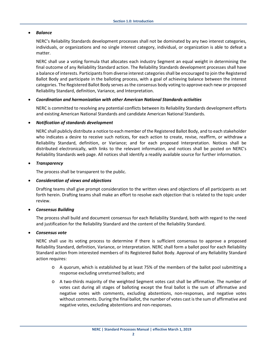#### • *Balance*

NERC's Reliability Standards development processes shall not be dominated by any two interest categories, individuals, or organizations and no single interest category, individual, or organization is able to defeat a matter.

NERC shall use a voting formula that allocates each industry Segment an equal weight in determining the final outcome of any Reliability Standard action. The Reliability Standards development processes shall have a balance of interests. Participants from diverse interest categories shall be encouraged to join the Registered Ballot Body and participate in the balloting process, with a goal of achieving balance between the interest categories. The Registered Ballot Body serves as the consensus body voting to approve each new or proposed Reliability Standard, definition, Variance, and Interpretation.

#### • *Coordination and harmonization with other American National Standards activities*

NERC is committed to resolving any potential conflicts between its Reliability Standards development efforts and existing American National Standards and candidate American National Standards.

#### • *Notification of standards development*

NERC shall publicly distribute a notice to each member of the Registered Ballot Body, and to each stakeholder who indicates a desire to receive such notices, for each action to create, revise, reaffirm, or withdraw a Reliability Standard, definition, or Variance; and for each proposed Interpretation. Notices shall be distributed electronically, with links to the relevant information, and notices shall be posted on NERC's Reliability Standards web page. All notices shall identify a readily available source for further information.

#### • *Transparency*

The process shall be transparent to the public.

#### • *Consideration of views and objections*

Drafting teams shall give prompt consideration to the written views and objections of all participants as set forth herein. Drafting teams shall make an effort to resolve each objection that is related to the topic under review.

#### • *Consensus Building*

The process shall build and document consensus for each Reliability Standard, both with regard to the need and justification for the Reliability Standard and the content of the Reliability Standard.

#### • *Consensus vote*

NERC shall use its voting process to determine if there is sufficient consensus to approve a proposed Reliability Standard, definition, Variance, or Interpretation. NERC shall form a ballot pool for each Reliability Standard action from interested members of its Registered Ballot Body. Approval of any Reliability Standard action requires:

- $\circ$  A guorum, which is established by at least 75% of the members of the ballot pool submitting a response excluding unreturned ballots; and
- o A two-thirds majority of the weighted Segment votes cast shall be affirmative. The number of votes cast during all stages of balloting except the final ballot is the sum of affirmative and negative votes with comments, excluding abstentions, non-responses, and negative votes without comments. During the final ballot, the number of votes cast is the sum of affirmative and negative votes, excluding abstentions and non-responses.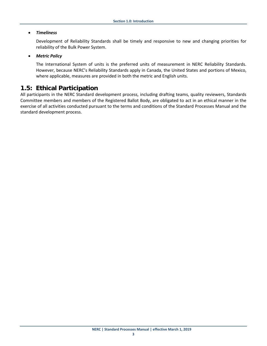#### • *Timeliness*

Development of Reliability Standards shall be timely and responsive to new and changing priorities for reliability of the Bulk Power System.

#### • *Metric Policy*

The International System of units is the preferred units of measurement in NERC Reliability Standards. However, because NERC's Reliability Standards apply in Canada, the United States and portions of Mexico, where applicable, measures are provided in both the metric and English units.

#### **1.5: Ethical Participation**

All participants in the NERC Standard development process, including drafting teams, quality reviewers, Standards Committee members and members of the Registered Ballot Body, are obligated to act in an ethical manner in the exercise of all activities conducted pursuant to the terms and conditions of the Standard Processes Manual and the standard development process.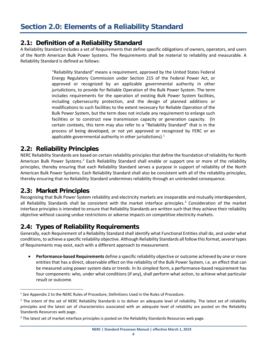#### <span id="page-6-0"></span>**2.1: Definition of a Reliability Standard**

A Reliability Standard includes a set of Requirements that define specific obligations of owners, operators, and users of the North American Bulk Power Systems. The Requirements shall be material to reliability and measurable. A Reliability Standard is defined as follows:

> "Reliability Standard" means a requirement, approved by the United States Federal Energy Regulatory Commission under Section 215 of the Federal Power Act, or approved or recognized by an applicable governmental authority in other jurisdictions, to provide for Reliable Operation of the Bulk Power System. The term includes requirements for the operation of existing Bulk Power System facilities, including cybersecurity protection, and the design of planned additions or modifications to such facilities to the extent necessary for Reliable Operation of the Bulk Power System, but the term does not include any requirement to enlarge such facilities or to construct new transmission capacity or generation capacity. (In certain contexts, this term may also refer to a "Reliability Standard" that is in the process of being developed, or not yet approved or recognized by FERC or an applicable governmental authority in other jurisdictions).<sup>[1](#page-6-1)</sup>

#### **2.2: Reliability Principles**

NERC Reliability Standards are based on certain reliability principles that define the foundation of reliability for North American Bulk Power Systems.<sup>[2](#page-6-2)</sup> Each Reliability Standard shall enable or support one or more of the reliability principles, thereby ensuring that each Reliability Standard serves a purpose in support of reliability of the North American Bulk Power Systems. Each Reliability Standard shall also be consistent with all of the reliability principles, thereby ensuring that no Reliability Standard undermines reliability through an unintended consequence.

#### **2.3: Market Principles**

Recognizing that Bulk Power System reliability and electricity markets are inseparable and mutually interdependent, all Reliability Standards shall be consistent with the market interface principles. $3$  Consideration of the market interface principles is intended to ensure that Reliability Standards are written such that they achieve their reliability objective without causing undue restrictions or adverse impacts on competitive electricity markets.

#### **2.4: Types of Reliability Requirements**

Generally, each Requirement of a Reliability Standard shall identify what Functional Entities shall do, and under what conditions, to achieve a specific reliability objective. Although Reliability Standards all follow this format, several types of Requirements may exist, each with a different approach to measurement.

• **Performance-based Requirements** define a specific reliability objective or outcome achieved by one or more entities that has a direct, observable effect on the reliability of the Bulk Power System, i.e. an effect that can be measured using power system data or trends. In its simplest form, a performance-based requirement has four components: who, under what conditions (if any), shall perform what action, to achieve what particular result or outcome.

<span id="page-6-1"></span><sup>1</sup> *See* Appendix 2 to the NERC Rules of Procedure, Definitions Used in the Rules of Procedure.

<span id="page-6-2"></span> $<sup>2</sup>$  The intent of the set of NERC Reliability Standards is to deliver an adequate level of reliability. The latest set of reliability</sup> principles and the latest set of characteristics associated with an adequate level of reliability are posted on the Reliability Standards Resources web page.

<span id="page-6-3"></span> $3$  The latest set of market interface principles is posted on the Reliability Standards Resources web page.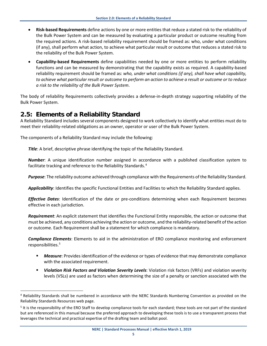- **Risk-based Requirements** define actions by one or more entities that reduce a stated risk to the reliability of the Bulk Power System and can be measured by evaluating a particular product or outcome resulting from the required actions. A risk-based reliability requirement should be framed as: who, under what conditions (if any), shall perform what action, to achieve what particular result or outcome that reduces a stated risk to the reliability of the Bulk Power System.
- **Capability-based Requirements** define capabilities needed by one or more entities to perform reliability functions and can be measured by demonstrating that the capability exists as required. A capability-based reliability requirement should be framed as: *who, under what conditions (if any), shall have what capability, to achieve what particular result or outcome to perform an action to achieve a result or outcome or to reduce a risk to the reliability of the Bulk Power System*.

The body of reliability Requirements collectively provides a defense-in-depth strategy supporting reliability of the Bulk Power System.

#### **2.5: Elements of a Reliability Standard**

A Reliability Standard includes several components designed to work collectively to identify what entities must do to meet their reliability-related obligations as an owner, operator or user of the Bulk Power System.

The components of a Reliability Standard may include the following:

*Title*: A brief, descriptive phrase identifying the topic of the Reliability Standard.

*Number*: A unique identification number assigned in accordance with a published classification system to facilitate tracking and reference to the Reliability Standards.<sup>[4](#page-7-0)</sup>

*Purpose*: The reliability outcome achieved through compliance with the Requirements of the Reliability Standard.

*Applicability*: Identifies the specific Functional Entities and Facilities to which the Reliability Standard applies.

*Effective Dates*: Identification of the date or pre-conditions determining when each Requirement becomes effective in each jurisdiction.

*Requirement*: An explicit statement that identifies the Functional Entity responsible, the action or outcome that must be achieved, any conditions achieving the action or outcome, and the reliability-related benefit of the action or outcome. Each Requirement shall be a statement for which compliance is mandatory.

*Compliance Elements*: Elements to aid in the administration of ERO compliance monitoring and enforcement responsibilities.<sup>[5](#page-7-1)</sup>

- *Measure*: Provides identification of the evidence or types of evidence that may demonstrate compliance with the associated requirement.
- *Violation Risk Factors and Violation Severity Levels*: Violation risk factors (VRFs) and violation severity levels (VSLs) are used as factors when determining the size of a penalty or sanction associated with the

<span id="page-7-0"></span><sup>&</sup>lt;sup>4</sup> Reliability Standards shall be numbered in accordance with the NERC Standards Numbering Convention as provided on the Reliability Standards Resources web page.

<span id="page-7-1"></span><sup>&</sup>lt;sup>5</sup> It is the responsibility of the ERO Staff to develop compliance tools for each standard; these tools are not part of the standard but are referenced in this manual because the preferred approach to developing these tools is to use a transparent process that leverages the technical and practical expertise of the drafting team and ballot pool.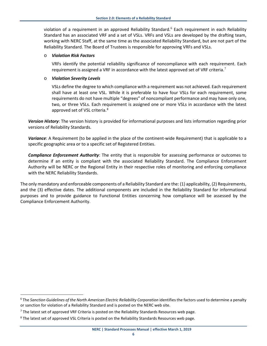violation of a requirement in an approved Reliability Standard.<sup>[6](#page-8-0)</sup> Each requirement in each Reliability Standard has an associated VRF and a set of VSLs. VRFs and VSLs are developed by the drafting team, working with NERC Staff, at the same time as the associated Reliability Standard, but are not part of the Reliability Standard. The Board of Trustees is responsible for approving VRFs and VSLs.

#### o *Violation Risk Factors*

VRFs identify the potential reliability significance of noncompliance with each requirement. Each requirement is assigned a VRF in accordance with the latest approved set of VRF criteria.<sup>[7](#page-8-1)</sup>

#### o *Violation Severity Levels*

VSLs define the degree to which compliance with a requirement was not achieved. Each requirement shall have at least one VSL. While it is preferable to have four VSLs for each requirement, some requirements do not have multiple "degrees" of noncompliant performance and may have only one, two, or three VSLs. Each requirement is assigned one or more VSLs in accordance with the latest approved set of VSL criteria.<sup>[8](#page-8-2)</sup>

*Version History*: The version history is provided for informational purposes and lists information regarding prior versions of Reliability Standards.

*Variance*: A Requirement (to be applied in the place of the continent-wide Requirement) that is applicable to a specific geographic area or to a specific set of Registered Entities.

*Compliance Enforcement Authority*: The entity that is responsible for assessing performance or outcomes to determine if an entity is compliant with the associated Reliability Standard. The Compliance Enforcement Authority will be NERC or the Regional Entity in their respective roles of monitoring and enforcing compliance with the NERC Reliability Standards.

The only mandatory and enforceable components of a Reliability Standard are the: (1) applicability, (2) Requirements, and the (3) effective dates. The additional components are included in the Reliability Standard for informational purposes and to provide guidance to Functional Entities concerning how compliance will be assessed by the Compliance Enforcement Authority.

<span id="page-8-0"></span><sup>&</sup>lt;sup>6</sup> The Sanction Guidelines of the North American Electric Reliability Corporation identifies the factors used to determine a penalty or sanction for violation of a Reliability Standard and is posted on the NERC web site.

<span id="page-8-1"></span> $<sup>7</sup>$  The latest set of approved VRF Criteria is posted on the Reliability Standards Resources web page.</sup>

<span id="page-8-2"></span> $8$  The latest set of approved VSL Criteria is posted on the Reliability Standards Resources web page.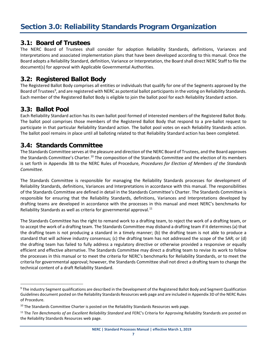#### <span id="page-9-0"></span>**3.1: Board of Trustees**

The NERC Board of Trustees shall consider for adoption Reliability Standards, definitions, Variances and Interpretations and associated implementation plans that have been developed according to this manual. Once the Board adopts a Reliability Standard, definition, Variance or Interpretation, the Board shall direct NERC Staff to file the document(s) for approval with Applicable Governmental Authorities.

#### **3.2: Registered Ballot Body**

The Registered Ballot Body comprises all entities or individuals that qualify for one of the Segments approved by the Board of Trustees<sup>[9](#page-9-1)</sup>, and are registered with NERC as potential ballot participants in the voting on Reliability Standards. Each member of the Registered Ballot Body is eligible to join the ballot pool for each Reliability Standard action.

#### **3.3: Ballot Pool**

Each Reliability Standard action has its own ballot pool formed of interested members of the Registered Ballot Body. The ballot pool comprises those members of the Registered Ballot Body that respond to a pre-ballot request to participate in that particular Reliability Standard action. The ballot pool votes on each Reliability Standards action. The ballot pool remains in place until all balloting related to that Reliability Standard action has been completed.

#### **3.4: Standards Committee**

The Standards Committee serves at the pleasure and direction of the NERC Board of Trustees, and the Board approves the Standards Committee's Charter.<sup>[10](#page-9-2)</sup> The composition of the Standards Committee and the election of its members is set forth in Appendix 3B to the NERC Rules of Procedure, *Procedures for Election of Members of the Standards Committee.*

The Standards Committee is responsible for managing the Reliability Standards processes for development of Reliability Standards, definitions, Variances and Interpretations in accordance with this manual. The responsibilities of the Standards Committee are defined in detail in the Standards Committee's Charter. The Standards Committee is responsible for ensuring that the Reliability Standards, definitions, Variances and Interpretations developed by drafting teams are developed in accordance with the processes in this manual and meet NERC's benchmarks for Reliability Standards as well as criteria for governmental approval. $11$ 

The Standards Committee has the right to remand work to a drafting team, to reject the work of a drafting team, or to accept the work of a drafting team. The Standards Committee may disband a drafting team if it determines (a) that the drafting team is not producing a standard in a timely manner; (b) the drafting team is not able to produce a standard that will achieve industry consensus; (c) the drafting team has not addressed the scope of the SAR; or (d) the drafting team has failed to fully address a regulatory directive or otherwise provided a responsive or equally efficient and effective alternative. The Standards Committee may direct a drafting team to revise its work to follow the processes in this manual or to meet the criteria for NERC's benchmarks for Reliability Standards, or to meet the criteria for governmental approval; however, the Standards Committee shall not direct a drafting team to change the technical content of a draft Reliability Standard.

<span id="page-9-1"></span><sup>&</sup>lt;sup>9</sup> The industry Segment qualifications are described in the Development of the Registered Ballot Body and Segment Qualification Guidelines document posted on the Reliability Standards Resources web page and are included in Appendix 3D of the NERC Rules of Procedure.

<span id="page-9-2"></span> $10$  The Standards Committee Charter is posted on the Reliability Standards Resources web page.

<span id="page-9-3"></span><sup>11</sup> The *Ten Benchmarks of an Excellent Reliability Standard* and FERC's Criteria for Approving Reliability Standards are posted on the Reliability Standards Resources web page.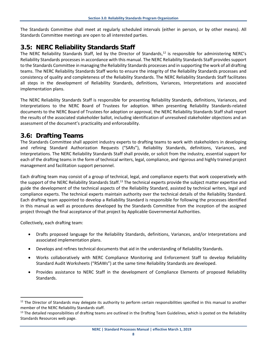The Standards Committee shall meet at regularly scheduled intervals (either in person, or by other means). All Standards Committee meetings are open to all interested parties.

#### **3.5: NERC Reliability Standards Staff**

The NERC Reliability Standards Staff, led by the Director of Standards, $12$  is responsible for administering NERC's Reliability Standards processes in accordance with this manual. The NERC Reliability Standards Staff provides support to the Standards Committee in managing the Reliability Standards processes and in supporting the work of all drafting teams. The NERC Reliability Standards Staff works to ensure the integrity of the Reliability Standards processes and consistency of quality and completeness of the Reliability Standards. The NERC Reliability Standards Staff facilitates all steps in the development of Reliability Standards, definitions, Variances, Interpretations and associated implementation plans.

The NERC Reliability Standards Staff is responsible for presenting Reliability Standards, definitions, Variances, and Interpretations to the NERC Board of Trustees for adoption. When presenting Reliability Standards-related documents to the NERC Board of Trustees for adoption or approval, the NERC Reliability Standards Staff shall report the results of the associated stakeholder ballot, including identification of unresolved stakeholder objections and an assessment of the document's practicality and enforceability.

#### **3.6: Drafting Teams**

The Standards Committee shall appoint industry experts to drafting teams to work with stakeholders in developing and refining Standard Authorization Requests ("SARs"), Reliability Standards, definitions, Variances, and Interpretations. The NERC Reliability Standards Staff shall provide, or solicit from the industry, essential support for each of the drafting teams in the form of technical writers, legal, compliance, and rigorous and highly trained project management and facilitation support personnel.

Each drafting team may consist of a group of technical, legal, and compliance experts that work cooperatively with the support of the NERC Reliability Standards Staff.<sup>[13](#page-10-1)</sup> The technical experts provide the subject matter expertise and guide the development of the technical aspects of the Reliability Standard, assisted by technical writers, legal and compliance experts. The technical experts maintain authority over the technical details of the Reliability Standard. Each drafting team appointed to develop a Reliability Standard is responsible for following the processes identified in this manual as well as procedures developed by the Standards Committee from the inception of the assigned project through the final acceptance of that project by Applicable Governmental Authorities.

Collectively, each drafting team:

- Drafts proposed language for the Reliability Standards, definitions, Variances, and/or Interpretations and associated implementation plans.
- Develops and refines technical documents that aid in the understanding of Reliability Standards.
- Works collaboratively with NERC Compliance Monitoring and Enforcement Staff to develop Reliability Standard Audit Worksheets ("RSAWs") at the same time Reliability Standards are developed.
- Provides assistance to NERC Staff in the development of Compliance Elements of proposed Reliability Standards.

**NERC | Standard Processes Manual | effective March 1, 2019**

<span id="page-10-0"></span><sup>&</sup>lt;sup>12</sup> The Director of Standards may delegate its authority to perform certain responsibilities specified in this manual to another member of the NERC Reliability Standards staff.<br><sup>13</sup> The detailed responsibilities of drafting teams are outlined in the Drafting Team Guidelines, which is posted on the Reliability

<span id="page-10-1"></span>Standards Resources web page.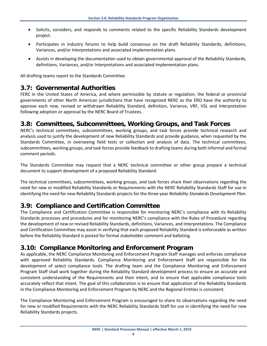- Solicits, considers, and responds to comments related to the specific Reliability Standards development project.
- Participates in industry forums to help build consensus on the draft Reliability Standards, definitions, Variances, and/or Interpretations and associated implementation plans.
- Assists in developing the documentation used to obtain governmental approval of the Reliability Standards, definitions, Variances, and/or Interpretations and associated implementation plans.

All drafting teams report to the Standards Committee.

#### **3.7: Governmental Authorities**

FERC in the United States of America, and where permissible by statute or regulation, the federal or provincial governments of other North American jurisdictions that have recognized NERC as the ERO have the authority to approve each new, revised or withdrawn Reliability Standard, definition, Variance, VRF, VSL and Interpretation following adoption or approval by the NERC Board of Trustees.

#### **3.8: Committees, Subcommittees, Working Groups, and Task Forces**

NERC's technical committees, subcommittees, working groups, and task forces provide technical research and analysis used to justify the development of new Reliability Standards and provide guidance, when requested by the Standards Committee, in overseeing field tests or collection and analysis of data. The technical committees, subcommittees, working groups, and task forces provide feedback to drafting teams during both informal and formal comment periods.

The Standards Committee may request that a NERC technical committee or other group prepare a technical document to support development of a proposed Reliability Standard.

The technical committees, subcommittees, working groups, and task forces share their observations regarding the need for new or modified Reliability Standards or Requirements with the NERC Reliability Standards Staff for use in identifying the need for new Reliability Standards projects for the three-year *Reliability Standards Development Plan*.

#### **3.9: Compliance and Certification Committee**

The Compliance and Certification Committee is responsible for monitoring NERC's compliance with its Reliability Standards processes and procedures and for monitoring NERC's compliance with the Rules of Procedure regarding the development of new or revised Reliability Standards, definitions, Variances, and Interpretations. The Compliance and Certification Committee may assist in verifying that each proposed Reliability Standard is enforceable as written before the Reliability Standard is posted for formal stakeholder comment and balloting.

#### **3.10: Compliance Monitoring and Enforcement Program**

As applicable, the NERC Compliance Monitoring and Enforcement Program Staff manages and enforces compliance with approved Reliability Standards. Compliance Monitoring and Enforcement Staff are responsible for the development of select compliance tools. The drafting team and the Compliance Monitoring and Enforcement Program Staff shall work together during the Reliability Standard development process to ensure an accurate and consistent understanding of the Requirements and their intent, and to ensure that applicable compliance tools accurately reflect that intent. The goal of this collaboration is to ensure that application of the Reliability Standards in the Compliance Monitoring and Enforcement Program by NERC and the Regional Entities is consistent.

The Compliance Monitoring and Enforcement Program is encouraged to share its observations regarding the need for new or modified Requirements with the NERC Reliability Standards Staff for use in identifying the need for new Reliability Standards projects.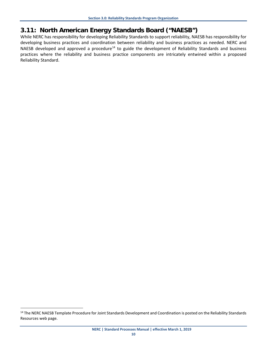#### **3.11: North American Energy Standards Board ("NAESB")**

While NERC has responsibility for developing Reliability Standards to support reliability, NAESB has responsibility for developing business practices and coordination between reliability and business practices as needed. NERC and NAESB developed and approved a procedure<sup>[14](#page-12-0)</sup> to guide the development of Reliability Standards and business practices where the reliability and business practice components are intricately entwined within a proposed Reliability Standard.

<span id="page-12-0"></span><sup>&</sup>lt;sup>14</sup> The NERC NAESB Template Procedure for Joint Standards Development and Coordination is posted on the Reliability Standards Resources web page.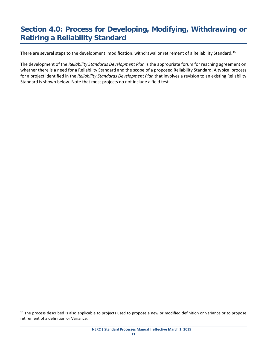## <span id="page-13-0"></span>**Section 4.0: Process for Developing, Modifying, Withdrawing or Retiring a Reliability Standard**

There are several steps to the development, modification, withdrawal or retirement of a Reliability Standard.<sup>15</sup>

The development of the *Reliability Standards Development Plan* is the appropriate forum for reaching agreement on whether there is a need for a Reliability Standard and the scope of a proposed Reliability Standard. A typical process for a project identified in the *Reliability Standards Development Plan* that involves a revision to an existing Reliability Standard is shown below. Note that most projects do not include a field test.

<span id="page-13-1"></span><sup>&</sup>lt;sup>15</sup> The process described is also applicable to projects used to propose a new or modified definition or Variance or to propose retirement of a definition or Variance.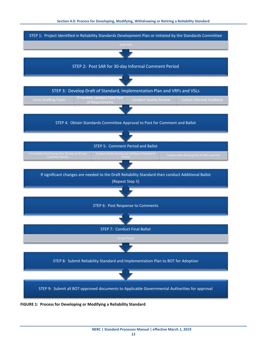

**FIGURE 1: Process for Developing or Modifying a Reliability Standard**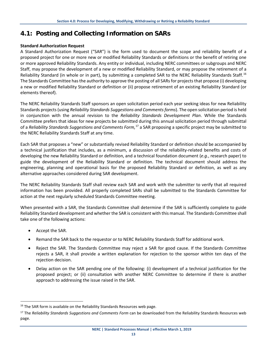#### **4.1: Posting and Collecting Information on SARs**

#### **Standard Authorization Request**

A Standard Authorization Request ("SAR") is the form used to document the scope and reliability benefit of a proposed project for one or more new or modified Reliability Standards or definitions or the benefit of retiring one or more approved Reliability Standards. Any entity or individual, including NERC committees or subgroups and NERC Staff, may propose the development of a new or modified Reliability Standard, or may propose the retirement of a Reliability Standard (in whole or in part), by submitting a completed SAR to the NERC Reliability Standards Staff.<sup>[16](#page-15-0)</sup> The Standards Committee has the authority to approve the posting of all SARs for projects that propose (i) developing a new or modified Reliability Standard or definition or (ii) propose retirement of an existing Reliability Standard (or elements thereof).

The NERC Reliability Standards Staff sponsors an open solicitation period each year seeking ideas for new Reliability Standards projects (using *Reliability Standards Suggestions and Comments forms*). The open solicitation period is held in conjunction with the annual revision to the *Reliability Standards Development Plan*. While the Standards Committee prefers that ideas for new projects be submitted during this annual solicitation period through submittal of a *Reliability Standards Suggestions and Comments Form,*[17](#page-15-1) a SAR proposing a specific project may be submitted to the NERC Reliability Standards Staff at any time.

Each SAR that proposes a "new" or substantially revised Reliability Standard or definition should be accompanied by a technical justification that includes, as a minimum, a discussion of the reliability-related benefits and costs of developing the new Reliability Standard or definition, and a technical foundation document (*e.g.*, research paper) to guide the development of the Reliability Standard or definition. The technical document should address the engineering, planning and operational basis for the proposed Reliability Standard or definition, as well as any alternative approaches considered during SAR development.

The NERC Reliability Standards Staff shall review each SAR and work with the submitter to verify that all required information has been provided. All properly completed SARs shall be submitted to the Standards Committee for action at the next regularly scheduled Standards Committee meeting.

When presented with a SAR, the Standards Committee shall determine if the SAR is sufficiently complete to guide Reliability Standard development and whether the SAR is consistent with this manual. The Standards Committee shall take one of the following actions:

- Accept the SAR.
- Remand the SAR back to the requestor or to NERC Reliability Standards Staff for additional work.
- Reject the SAR. The Standards Committee may reject a SAR for good cause. If the Standards Committee rejects a SAR, it shall provide a written explanation for rejection to the sponsor within ten days of the rejection decision.
- Delay action on the SAR pending one of the following: (i) development of a technical justification for the proposed project; or (ii) consultation with another NERC Committee to determine if there is another approach to addressing the issue raised in the SAR.

<span id="page-15-0"></span><sup>&</sup>lt;sup>16</sup> The SAR form is available on the Reliability Standards Resources web page.

<span id="page-15-1"></span><sup>17</sup> The *Reliability Standards Suggestions and Comments Form* can be downloaded from the Reliability Standards Resources web page.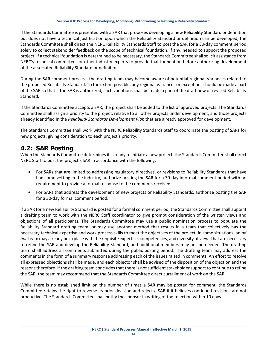If the Standards Committee is presented with a SAR that proposes developing a new Reliability Standard or definition but does not have a technical justification upon which the Reliability Standard or definition can be developed, the Standards Committee shall direct the NERC Reliability Standards Staff to post the SAR for a 30-day comment period solely to collect stakeholder feedback on the scope of technical foundation, if any, needed to support the proposed project. If a technical foundation is determined to be necessary, the Standards Committee shall solicit assistance from NERC's technical committees or other industry experts to provide that foundation before authorizing development of the associated Reliability Standard or definition.

During the SAR comment process, the drafting team may become aware of potential regional Variances related to the proposed Reliability Standard. To the extent possible, any regional Variances or exceptions should be made a part of the SAR so that if the SAR is authorized, such variations shall be made a part of the draft new or revised Reliability Standard.

If the Standards Committee accepts a SAR, the project shall be added to the list of approved projects. The Standards Committee shall assign a priority to the project, relative to all other projects under development, and those projects already identified in the *Reliability Standards Development Plan* that are already approved for development.

The Standards Committee shall work with the NERC Reliability Standards Staff to coordinate the posting of SARs for new projects, giving consideration to each project's priority.

#### **4.2: SAR Posting**

When the Standards Committee determines it is ready to initiate a new project, the Standards Committee shall direct NERC Staff to post the project's SAR in accordance with the following:

- For SARs that are limited to addressing regulatory directives, or revisions to Reliability Standards that have had some vetting in the industry, authorize posting the SAR for a 30-day informal comment period with no requirement to provide a formal response to the comments received.
- For SARs that address the development of new projects or Reliability Standards, authorize posting the SAR for a 30-day formal comment period.

If a SAR for a new Reliability Standard is posted for a formal comment period, the Standards Committee shall appoint a drafting team to work with the NERC Staff coordinator to give prompt consideration of the written views and objections of all participants. The Standards Committee may use a public nomination process to populate the Reliability Standard drafting team, or may use another method that results in a team that collectively has the necessary technical expertise and work process skills to meet the objectives of the project. In some situations, an *ad hoc* team may already be in place with the requisite expertise, competencies, and diversity of views that are necessary to refine the SAR and develop the Reliability Standard, and additional members may not be needed. The drafting team shall address all comments submitted during the public posting period. The drafting team may address the comments in the form of a summary response addressing each of the issues raised in comments. An effort to resolve all expressed objections shall be made, and each objector shall be advised of the disposition of the objection and the reasons therefore. If the drafting team concludes that there is not sufficient stakeholder support to continue to refine the SAR, the team may recommend that the Standards Committee direct curtailment of work on the SAR.

While there is no established limit on the number of times a SAR may be posted for comment, the Standards Committee retains the right to reverse its prior decision and reject a SAR if it believes continued revisions are not productive. The Standards Committee shall notify the sponsor in writing of the rejection within 10 days.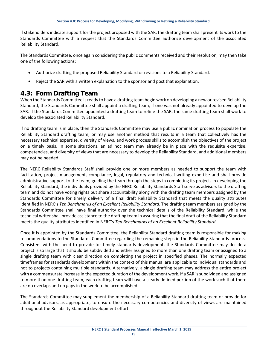If stakeholders indicate support for the project proposed with the SAR, the drafting team shall present its work to the Standards Committee with a request that the Standards Committee authorize development of the associated Reliability Standard.

The Standards Committee, once again considering the public comments received and their resolution, may then take one of the following actions:

- Authorize drafting the proposed Reliability Standard or revisions to a Reliability Standard.
- Reject the SAR with a written explanation to the sponsor and post that explanation.

#### **4.3: Form Drafting Team**

When the Standards Committee is ready to have a drafting team begin work on developing a new or revised Reliability Standard, the Standards Committee shall appoint a drafting team, if one was not already appointed to develop the SAR. If the Standards Committee appointed a drafting team to refine the SAR, the same drafting team shall work to develop the associated Reliability Standard.

If no drafting team is in place, then the Standards Committee may use a public nomination process to populate the Reliability Standard drafting team, or may use another method that results in a team that collectively has the necessary technical expertise, diversity of views, and work process skills to accomplish the objectives of the project on a timely basis. In some situations, an ad hoc team may already be in place with the requisite expertise, competencies, and diversity of views that are necessary to develop the Reliability Standard, and additional members may not be needed.

The NERC Reliability Standards Staff shall provide one or more members as needed to support the team with facilitation, project management, compliance, legal, regulatory and technical writing expertise and shall provide administrative support to the team, guiding the team through the steps in completing its project. In developing the Reliability Standard, the individuals provided by the NERC Reliability Standards Staff serve as advisors to the drafting team and do not have voting rights but share accountability along with the drafting team members assigned by the Standards Committee for timely delivery of a final draft Reliability Standard that meets the quality attributes identified in NERC's *Ten Benchmarks of an Excellent Reliability Standard*. The drafting team members assigned by the Standards Committee shall have final authority over the technical details of the Reliability Standard, while the technical writer shall provide assistance to the drafting team in assuring that the final draft of the Reliability Standard meets the quality attributes identified in NERC's *Ten Benchmarks of an Excellent Reliability Standard*.

Once it is appointed by the Standards Committee, the Reliability Standard drafting team is responsible for making recommendations to the Standards Committee regarding the remaining steps in the Reliability Standards process. Consistent with the need to provide for timely standards development, the Standards Committee may decide a project is so large that it should be subdivided and either assigned to more than one drafting team or assigned to a single drafting team with clear direction on completing the project in specified phases. The normally expected timeframes for standards development within the context of this manual are applicable to individual standards and not to projects containing multiple standards. Alternatively, a single drafting team may address the entire project with a commensurate increase in the expected duration of the development work. If a SAR is subdivided and assigned to more than one drafting team, each drafting team will have a clearly defined portion of the work such that there are no overlaps and no gaps in the work to be accomplished.

The Standards Committee may supplement the membership of a Reliability Standard drafting team or provide for additional advisors, as appropriate, to ensure the necessary competencies and diversity of views are maintained throughout the Reliability Standard development effort.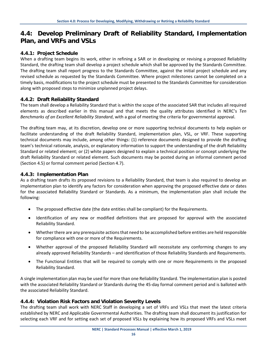#### **4.4: Develop Preliminary Draft of Reliability Standard, Implementation Plan, and VRFs and VSLs**

#### **4.4.1: Project Schedule**

When a drafting team begins its work, either in refining a SAR or in developing or revising a proposed Reliability Standard, the drafting team shall develop a project schedule which shall be approved by the Standards Committee. The drafting team shall report progress to the Standards Committee, against the initial project schedule and any revised schedule as requested by the Standards Committee. Where project milestones cannot be completed on a timely basis, modifications to the project schedule must be presented to the Standards Committee for consideration along with proposed steps to minimize unplanned project delays.

#### **4.4.2: Draft Reliability Standard**

The team shall develop a Reliability Standard that is within the scope of the associated SAR that includes all required elements as described earlier in this manual and that meets the quality attributes identified in NERC's *Ten Benchmarks of an Excellent Reliability Standard*, with a goal of meeting the criteria for governmental approval.

The drafting team may, at its discretion, develop one or more supporting technical documents to help explain or facilitate understanding of the draft Reliability Standard, implementation plan, VSL, or VRF. These supporting technical documents may include, among other things: (1) reference documents designed to provide the drafting team's technical rationale, analysis, or explanatory information to support the understanding of the draft Reliability Standard or related element; or (2) white papers designed to explain a technical position or concept underlying the draft Reliability Standard or related element. Such documents may be posted during an informal comment period (Section 4.5) or formal comment period (Section 4.7).

#### **4.4.3: Implementation Plan**

As a drafting team drafts its proposed revisions to a Reliability Standard, that team is also required to develop an implementation plan to identify any factors for consideration when approving the proposed effective date or dates for the associated Reliability Standard or Standards. As a minimum, the implementation plan shall include the following:

- The proposed effective date (the date entities shall be compliant) for the Requirements.
- Identification of any new or modified definitions that are proposed for approval with the associated Reliability Standard.
- Whether there are any prerequisite actions that need to be accomplished before entities are held responsible for compliance with one or more of the Requirements.
- Whether approval of the proposed Reliability Standard will necessitate any conforming changes to any already approved Reliability Standards – and identification of those Reliability Standards and Requirements.
- The Functional Entities that will be required to comply with one or more Requirements in the proposed Reliability Standard.

A single implementation plan may be used for more than one Reliability Standard. The implementation plan is posted with the associated Reliability Standard or Standards during the 45-day formal comment period and is balloted with the associated Reliability Standard.

#### **4.4.4: Violation Risk Factors and Violation Severity Levels**

The drafting team shall work with NERC Staff in developing a set of VRFs and VSLs that meet the latest criteria established by NERC and Applicable Governmental Authorities. The drafting team shall document its justification for selecting each VRF and for setting each set of proposed VSLs by explaining how its proposed VRFs and VSLs meet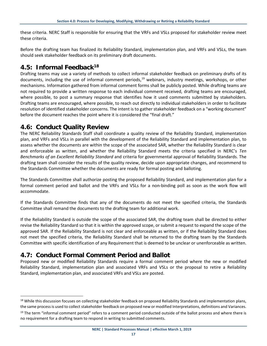these criteria. NERC Staff is responsible for ensuring that the VRFs and VSLs proposed for stakeholder review meet these criteria.

Before the drafting team has finalized its Reliability Standard, implementation plan, and VRFs and VSLs, the team should seek stakeholder feedback on its preliminary draft documents.

#### **4.5: Informal Feedbac[k18](#page-19-0)**

Drafting teams may use a variety of methods to collect informal stakeholder feedback on preliminary drafts of its documents, including the use of informal comment periods,<sup>[19](#page-19-1)</sup> webinars, industry meetings, workshops, or other mechanisms. Information gathered from informal comment forms shall be publicly posted. While drafting teams are not required to provide a written response to each individual comment received, drafting teams are encouraged, where possible, to post a summary response that identifies how it used comments submitted by stakeholders. Drafting teams are encouraged, where possible, to reach out directly to individual stakeholders in order to facilitate resolution of identified stakeholder concerns. The intent is to gather stakeholder feedback on a "working document" before the document reaches the point where it is considered the "final draft."

#### **4.6: Conduct Quality Review**

The NERC Reliability Standards Staff shall coordinate a quality review of the Reliability Standard, implementation plan, and VRFs and VSLs in parallel with the development of the Reliability Standard and implementation plan, to assess whether the documents are within the scope of the associated SAR, whether the Reliability Standard is clear and enforceable as written, and whether the Reliability Standard meets the criteria specified in NERC's *Ten Benchmarks of an Excellent Reliability Standard* and criteria for governmental approval of Reliability Standards. The drafting team shall consider the results of the quality review, decide upon appropriate changes, and recommend to the Standards Committee whether the documents are ready for formal posting and balloting.

The Standards Committee shall authorize posting the proposed Reliability Standard, and implementation plan for a formal comment period and ballot and the VRFs and VSLs for a non-binding poll as soon as the work flow will accommodate.

If the Standards Committee finds that any of the documents do not meet the specified criteria, the Standards Committee shall remand the documents to the drafting team for additional work.

If the Reliability Standard is outside the scope of the associated SAR, the drafting team shall be directed to either revise the Reliability Standard so that it is within the approved scope, or submit a request to expand the scope of the approved SAR. If the Reliability Standard is not clear and enforceable as written, or if the Reliability Standard does not meet the specified criteria, the Reliability Standard shall be returned to the drafting team by the Standards Committee with specific identification of any Requirement that is deemed to be unclear or unenforceable as written.

#### **4.7: Conduct Formal Comment Period and Ballot**

Proposed new or modified Reliability Standards require a formal comment period where the new or modified Reliability Standard, implementation plan and associated VRFs and VSLs or the proposal to retire a Reliability Standard, implementation plan, and associated VRFs and VSLs are posted.

<span id="page-19-0"></span><sup>&</sup>lt;sup>18</sup> While this discussion focuses on collecting stakeholder feedback on proposed Reliability Standards and implementation plans, the same process is used to collect stakeholder feedback on proposed new or modified Interpretations, definitions and Variances.

<span id="page-19-1"></span> $19$  The term "informal comment period" refers to a comment period conducted outside of the ballot process and where there is no requirement for a drafting team to respond in writing to submitted comments.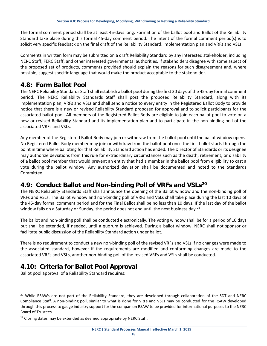The formal comment period shall be at least 45-days long. Formation of the ballot pool and Ballot of the Reliability Standard take place during this formal 45-day comment period. The intent of the formal comment period(s) is to solicit very specific feedback on the final draft of the Reliability Standard, implementation plan and VRFs and VSLs.

Comments in written form may be submitted on a draft Reliability Standard by any interested stakeholder, including NERC Staff, FERC Staff, and other interested governmental authorities. If stakeholders disagree with some aspect of the proposed set of products, comments provided should explain the reasons for such disagreement and, where possible, suggest specific language that would make the product acceptable to the stakeholder.

#### **4.8: Form Ballot Pool**

The NERC Reliability Standards Staff shall establish a ballot pool during the first 30 days of the 45-day formal comment period. The NERC Reliability Standards Staff shall post the proposed Reliability Standard, along with its implementation plan, VRFs and VSLs and shall send a notice to every entity in the Registered Ballot Body to provide notice that there is a new or revised Reliability Standard proposed for approval and to solicit participants for the associated ballot pool. All members of the Registered Ballot Body are eligible to join each ballot pool to vote on a new or revised Reliability Standard and its implementation plan and to participate in the non-binding poll of the associated VRFs and VSLs.

Any member of the Registered Ballot Body may join or withdraw from the ballot pool until the ballot window opens. No Registered Ballot Body member may join or withdraw from the ballot pool once the first ballot starts through the point in time where balloting for that Reliability Standard action has ended. The Director of Standards or its designee may authorize deviations from this rule for extraordinary circumstances such as the death, retirement, or disability of a ballot pool member that would prevent an entity that had a member in the ballot pool from eligibility to cast a vote during the ballot window. Any authorized deviation shall be documented and noted to the Standards Committee.

#### **4.9: Conduct Ballot and Non-binding Poll of VRFs and VSLs[20](#page-20-0)**

The NERC Reliability Standards Staff shall announce the opening of the Ballot window and the non-binding poll of VRFs and VSLs. The Ballot window and non-binding poll of VRFs and VSLs shall take place during the last 10 days of the 45-day formal comment period and for the Final Ballot shall be no less than 10 days. If the last day of the ballot window falls on a Saturday or Sunday, the period does not end until the next business day.<sup>[21](#page-20-1)</sup>

The ballot and non-binding poll shall be conducted electronically. The voting window shall be for a period of 10 days but shall be extended, if needed, until a quorum is achieved. During a ballot window, NERC shall not sponsor or facilitate public discussion of the Reliability Standard action under ballot.

There is no requirement to conduct a new non-binding poll of the revised VRFs and VSLs if no changes were made to the associated standard, however if the requirements are modified and conforming changes are made to the associated VRFs and VSLs, another non-binding poll of the revised VRFs and VSLs shall be conducted.

#### **4.10: Criteria for Ballot Pool Approval**

Ballot pool approval of a Reliability Standard requires:

<span id="page-20-0"></span><sup>&</sup>lt;sup>20</sup> While RSAWs are not part of the Reliability Standard, they are developed through collaboration of the SDT and NERC Compliance Staff. A non-binding poll, similar to what is done for VRFs and VSLs may be conducted for the RSAW developed through this process to gauge industry support for the companion RSAW to be provided for informational purposes to the NERC Board of Trustees.

<span id="page-20-1"></span> $21$  Closing dates may be extended as deemed appropriate by NERC Staff.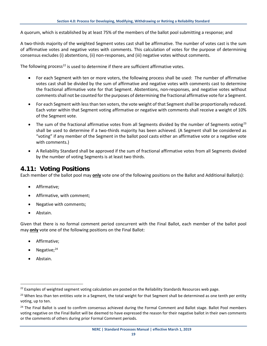A quorum, which is established by at least 75% of the members of the ballot pool submitting a response; and

A two-thirds majority of the weighted Segment votes cast shall be affirmative. The number of votes cast is the sum of affirmative votes and negative votes with comments. This calculation of votes for the purpose of determining consensus excludes (i) abstentions, (ii) non-responses, and (iii) negative votes without comments.

The following process<sup>[22](#page-21-0)</sup> is used to determine if there are sufficient affirmative votes.

- For each Segment with ten or more voters, the following process shall be used: The number of affirmative votes cast shall be divided by the sum of affirmative and negative votes with comments cast to determine the fractional affirmative vote for that Segment. Abstentions, non-responses, and negative votes without comments shall not be counted for the purposes of determining the fractional affirmative vote for a Segment.
- For each Segment with less than ten voters, the vote weight of that Segment shall be proportionally reduced. Each voter within that Segment voting affirmative or negative with comments shall receive a weight of 10% of the Segment vote.
- The sum of the fractional affirmative votes from all Segments divided by the number of Segments voting<sup>[23](#page-21-1)</sup> shall be used to determine if a two-thirds majority has been achieved. (A Segment shall be considered as "voting" if any member of the Segment in the ballot pool casts either an affirmative vote or a negative vote with comments.)
- A Reliability Standard shall be approved if the sum of fractional affirmative votes from all Segments divided by the number of voting Segments is at least two thirds.

#### **4.11: Voting Positions**

Each member of the ballot pool may **only** vote one of the following positions on the Ballot and Additional Ballot(s):

- Affirmative;
- Affirmative, with comment;
- Negative with comments;
- Abstain.

Given that there is no formal comment period concurrent with the Final Ballot, each member of the ballot pool may **only** vote one of the following positions on the Final Ballot:

- Affirmative;
- Negative; $^{24}$  $^{24}$  $^{24}$
- Abstain.

<span id="page-21-0"></span><sup>&</sup>lt;sup>22</sup> Examples of weighted segment voting calculation are posted on the Reliability Standards Resources web page.

<span id="page-21-1"></span><sup>&</sup>lt;sup>23</sup> When less than ten entities vote in a Segment, the total weight for that Segment shall be determined as one tenth per entity voting, up to ten.

<span id="page-21-2"></span><sup>&</sup>lt;sup>24</sup> The Final Ballot is used to confirm consensus achieved during the Formal Comment and Ballot stage. Ballot Pool members voting negative on the Final Ballot will be deemed to have expressed the reason for their negative ballot in their own comments or the comments of others during prior Formal Comment periods.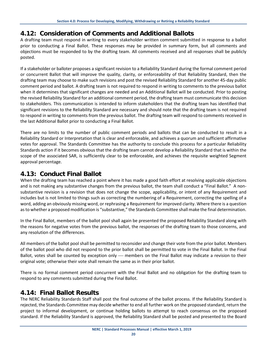#### **4.12: Consideration of Comments and Additional Ballots**

A drafting team must respond in writing to every stakeholder written comment submitted in response to a ballot prior to conducting a Final Ballot. These responses may be provided in summary form, but all comments and objections must be responded to by the drafting team. All comments received and all responses shall be publicly posted.

If a stakeholder or balloter proposes a significant revision to a Reliability Standard during the formal comment period or concurrent Ballot that will improve the quality, clarity, or enforceability of that Reliability Standard, then the drafting team may choose to make such revisions and post the revised Reliability Standard for another 45-day public comment period and ballot. A drafting team is not required to respond in writing to comments to the previous ballot when it determines that significant changes are needed and an Additional Ballot will be conducted. Prior to posting the revised Reliability Standard for an additional comment period, the drafting team must communicate this decision to stakeholders. This communication is intended to inform stakeholders that the drafting team has identified that significant revisions to the Reliability Standard are necessary and should note that the drafting team is not required to respond in writing to comments from the previous ballot. The drafting team will respond to comments received in the last Additional Ballot prior to conducting a Final Ballot.

There are no limits to the number of public comment periods and ballots that can be conducted to result in a Reliability Standard or Interpretation that is clear and enforceable, and achieves a quorum and sufficient affirmative votes for approval. The Standards Committee has the authority to conclude this process for a particular Reliability Standards action if it becomes obvious that the drafting team cannot develop a Reliability Standard that is within the scope of the associated SAR, is sufficiently clear to be enforceable, and achieves the requisite weighted Segment approval percentage.

#### **4.13: Conduct Final Ballot**

When the drafting team has reached a point where it has made a good faith effort at resolving applicable objections and is not making any substantive changes from the previous ballot, the team shall conduct a "Final Ballot." A nonsubstantive revision is a revision that does not change the scope, applicability, or intent of any Requirement and includes but is not limited to things such as correcting the numbering of a Requirement, correcting the spelling of a word, adding an obviously missing word, or rephrasing a Requirement for improved clarity. Where there is a question as to whether a proposed modification is "substantive," the Standards Committee shall make the final determination.

In the Final Ballot, members of the ballot pool shall again be presented the proposed Reliability Standard along with the reasons for negative votes from the previous ballot, the responses of the drafting team to those concerns, and any resolution of the differences.

All members of the ballot pool shall be permitted to reconsider and change their vote from the prior ballot. Members of the ballot pool who did not respond to the prior ballot shall be permitted to vote in the Final Ballot. In the Final Ballot, votes shall be counted by exception only — members on the Final Ballot may indicate a revision to their original vote; otherwise their vote shall remain the same as in their prior ballot.

There is no formal comment period concurrent with the Final Ballot and no obligation for the drafting team to respond to any comments submitted during the Final Ballot.

#### **4.14: Final Ballot Results**

The NERC Reliability Standards Staff shall post the final outcome of the ballot process. If the Reliability Standard is rejected, the Standards Committee may decide whether to end all further work on the proposed standard, return the project to informal development, or continue holding ballots to attempt to reach consensus on the proposed standard. If the Reliability Standard is approved, the Reliability Standard shall be posted and presented to the Board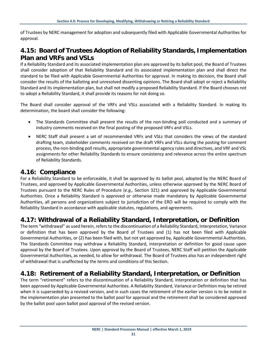of Trustees by NERC management for adoption and subsequently filed with Applicable Governmental Authorities for approval.

#### **4.15: Board of Trustees Adoption of Reliability Standards, Implementation Plan and VRFs and VSLs**

If a Reliability Standard and its associated implementation plan are approved by its ballot pool, the Board of Trustees shall consider adoption of that Reliability Standard and its associated implementation plan and shall direct the standard to be filed with Applicable Governmental Authorities for approval. In making its decision, the Board shall consider the results of the balloting and unresolved dissenting opinions. The Board shall adopt or reject a Reliability Standard and its implementation plan, but shall not modify a proposed Reliability Standard. If the Board chooses not to adopt a Reliability Standard, it shall provide its reasons for not doing so.

The Board shall consider approval of the VRFs and VSLs associated with a Reliability Standard. In making its determination, the board shall consider the following:

- The Standards Committee shall present the results of the non-binding poll conducted and a summary of industry comments received on the final posting of the proposed VRFs and VSLs.
- NERC Staff shall present a set of recommended VRFs and VSLs that considers the views of the standard drafting team, stakeholder comments received on the draft VRFs and VSLs during the posting for comment process, the non-binding poll results, appropriate governmental agency rules and directives, and VRF and VSL assignments for other Reliability Standards to ensure consistency and relevance across the entire spectrum of Reliability Standards.

#### **4.16: Compliance**

For a Reliability Standard to be enforceable, it shall be approved by its ballot pool, adopted by the NERC Board of Trustees, and approved by Applicable Governmental Authorities, unless otherwise approved by the NERC Board of Trustees pursuant to the NERC Rules of Procedure (*e.g.,* Section 321) and approved by Applicable Governmental Authorities. Once a Reliability Standard is approved or otherwise made mandatory by Applicable Governmental Authorities, all persons and organizations subject to jurisdiction of the ERO will be required to comply with the Reliability Standard in accordance with applicable statutes, regulations, and agreements.

#### **4.17: Withdrawal of a Reliability Standard, Interpretation, or Definition**

The term "withdrawal" as used herein, refers to the discontinuation of a Reliability Standard, Interpretation, Variance or definition that has been approved by the Board of Trustees and (1) has not been filed with Applicable Governmental Authorities, or (2) has been filed with, but not yet approved by, Applicable Governmental Authorities. The Standards Committee may withdraw a Reliability Standard, Interpretation or definition for good cause upon approval by the Board of Trustees. Upon approval by the Board of Trustees, NERC Staff will petition the Applicable Governmental Authorities, as needed, to allow for withdrawal. The Board of Trustees also has an independent right of withdrawal that is unaffected by the terms and conditions of this Section.

#### **4.18: Retirement of a Reliability Standard, Interpretation, or Definition**

The term "retirement" refers to the discontinuation of a Reliability Standard, Interpretation or definition that has been approved by Applicable Governmental Authorities. A Reliability Standard, Variance or Definition may be retired when it is superseded by a revised version, and in such cases the retirement of the earlier version is to be noted in the implementation plan presented to the ballot pool for approval and the retirement shall be considered approved by the ballot pool upon ballot pool approval of the revised version.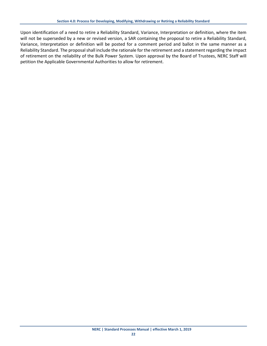Upon identification of a need to retire a Reliability Standard, Variance, Interpretation or definition, where the item will not be superseded by a new or revised version, a SAR containing the proposal to retire a Reliability Standard, Variance, Interpretation or definition will be posted for a comment period and ballot in the same manner as a Reliability Standard. The proposal shall include the rationale for the retirement and a statement regarding the impact of retirement on the reliability of the Bulk Power System. Upon approval by the Board of Trustees, NERC Staff will petition the Applicable Governmental Authorities to allow for retirement.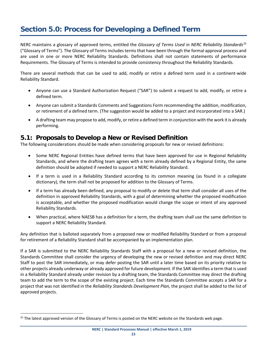# <span id="page-25-0"></span>**Section 5.0: Process for Developing a Defined Term**

NERC maintains a glossary of approved terms, entitled the *Glossary of Terms Used in NERC Reliability Standards*[25](#page-25-1) ("Glossary of Terms"). The Glossary of Terms includes terms that have been through the formal approval process and are used in one or more NERC Reliability Standards. Definitions shall not contain statements of performance Requirements. The Glossary of Terms is intended to provide consistency throughout the Reliability Standards.

There are several methods that can be used to add, modify or retire a defined term used in a continent-wide Reliability Standard.

- Anyone can use a Standard Authorization Request ("SAR") to submit a request to add, modify, or retire a defined term.
- Anyone can submit a Standards Comments and Suggestions Form recommending the addition, modification, or retirement of a defined term. (The suggestion would be added to a project and incorporated into a SAR.)
- A drafting team may propose to add, modify, or retire a defined term in conjunction with the work it is already performing.

#### **5.1: Proposals to Develop a New or Revised Definition**

The following considerations should be made when considering proposals for new or revised definitions:

- Some NERC Regional Entities have defined terms that have been approved for use in Regional Reliability Standards, and where the drafting team agrees with a term already defined by a Regional Entity, the same definition should be adopted if needed to support a NERC Reliability Standard.
- If a term is used in a Reliability Standard according to its common meaning (as found in a collegiate dictionary), the term shall not be proposed for addition to the Glossary of Terms.
- If a term has already been defined, any proposal to modify or delete that term shall consider all uses of the definition in approved Reliability Standards, with a goal of determining whether the proposed modification is acceptable, and whether the proposed modification would change the scope or intent of any approved Reliability Standards.
- When practical, where NAESB has a definition for a term, the drafting team shall use the same definition to support a NERC Reliability Standard.

Any definition that is balloted separately from a proposed new or modified Reliability Standard or from a proposal for retirement of a Reliability Standard shall be accompanied by an implementation plan.

If a SAR is submitted to the NERC Reliability Standards Staff with a proposal for a new or revised definition, the Standards Committee shall consider the urgency of developing the new or revised definition and may direct NERC Staff to post the SAR immediately, or may defer posting the SAR until a later time based on its priority relative to other projects already underway or already approved for future development. If the SAR identifies a term that is used in a Reliability Standard already under revision by a drafting team, the Standards Committee may direct the drafting team to add the term to the scope of the existing project. Each time the Standards Committee accepts a SAR for a project that was not identified in the *Reliability Standards Development Plan,* the project shall be added to the list of approved projects.

<span id="page-25-1"></span><sup>&</sup>lt;sup>25</sup> The latest approved version of the Glossary of Terms is posted on the NERC website on the Standards web page.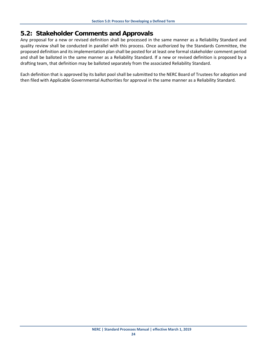#### **5.2: Stakeholder Comments and Approvals**

Any proposal for a new or revised definition shall be processed in the same manner as a Reliability Standard and quality review shall be conducted in parallel with this process. Once authorized by the Standards Committee, the proposed definition and its implementation plan shall be posted for at least one formal stakeholder comment period and shall be balloted in the same manner as a Reliability Standard. If a new or revised definition is proposed by a drafting team, that definition may be balloted separately from the associated Reliability Standard.

Each definition that is approved by its ballot pool shall be submitted to the NERC Board of Trustees for adoption and then filed with Applicable Governmental Authorities for approval in the same manner as a Reliability Standard.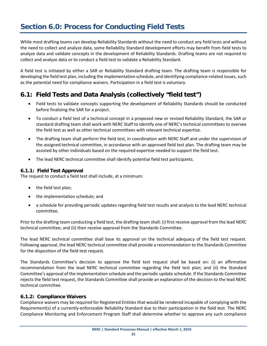# <span id="page-27-0"></span>**Section 6.0: Process for Conducting Field Tests**

While most drafting teams can develop Reliability Standards without the need to conduct any field tests and without the need to collect and analyze data, some Reliability Standard development efforts may benefit from field tests to analyze data and validate concepts in the development of Reliability Standards. Drafting teams are not required to collect and analyze data or to conduct a field test to validate a Reliability Standard.

A field test is initiated by either a SAR or Reliability Standard drafting team. The drafting team is responsible for developing the field test plan, including the implementation schedule, and identifying compliance-related issues, such as the potential need for compliance waivers. Participation in a field test is voluntary.

#### **6.1: Field Tests and Data Analysis (collectively "field test")**

- Field tests to validate concepts supporting the development of Reliability Standards should be conducted before finalizing the SAR for a project.
- To conduct a field test of a technical concept in a proposed new or revised Reliability Standard, the SAR or standard drafting team shall work with NERC Staff to identify one of NERC's technical committees to oversee the field test as well as other technical committees with relevant technical expertise.
- The drafting team shall perform the field test, in coordination with NERC Staff and under the supervision of the assigned technical committee, in accordance with an approved field test plan. The drafting team may be assisted by other individuals based on the required expertise needed to support the field test.
- The lead NERC technical committee shall identify potential field test participants.

#### **6.1.1: Field Test Approval**

The request to conduct a field test shall include, at a minimum:

- the field test plan;
- the implementation schedule; and
- a schedule for providing periodic updates regarding field test results and analysis to the lead NERC technical committee.

Prior to the drafting team conducting a field test, the drafting team shall: (i) first receive approval from the lead NERC technical committee; and (ii) then receive approval from the Standards Committee.

The lead NERC technical committee shall base its approval on the technical adequacy of the field test request. Following approval, the lead NERC technical committee shall provide a recommendation to the Standards Committee for the disposition of the field test request.

The Standards Committee's decision to approve the field test request shall be based on: (i) an affirmative recommendation from the lead NERC technical committee regarding the field test plan; and (ii) the Standard Committee's approval of the implementation schedule and the periodic update schedule. If the Standards Committee rejects the field test request, the Standards Committee shall provide an explanation of the decision to the lead NERC technical committee.

#### **6.1.2: Compliance Waivers**

Compliance waivers may be required for Registered Entities that would be rendered incapable of complying with the Requirement(s) of a currently-enforceable Reliability Standard due to their participation in the field test. The NERC Compliance Monitoring and Enforcement Program Staff shall determine whether to approve any such compliance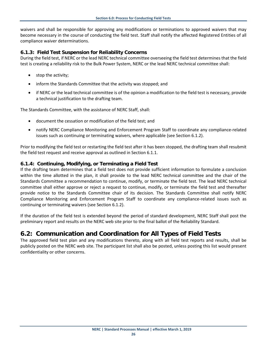waivers and shall be responsible for approving any modifications or terminations to approved waivers that may become necessary in the course of conducting the field test. Staff shall notify the affected Registered Entities of all compliance waiver determinations.

#### **6.1.3: Field Test Suspension for Reliability Concerns**

During the field test, if NERC or the lead NERC technical committee overseeing the field test determines that the field test is creating a reliability risk to the Bulk Power System, NERC or the lead NERC technical committee shall:

- stop the activity;
- inform the Standards Committee that the activity was stopped; and
- if NERC or the lead technical committee is of the opinion a modification to the field test is necessary, provide a technical justification to the drafting team.

The Standards Committee, with the assistance of NERC Staff, shall:

- document the cessation or modification of the field test; and
- notify NERC Compliance Monitoring and Enforcement Program Staff to coordinate any compliance-related issues such as continuing or terminating waivers, where applicable (see Section 6.1.2).

Prior to modifying the field test or restarting the field test after it has been stopped, the drafting team shall resubmit the field test request and receive approval as outlined in Section 6.1.1.

#### **6.1.4: Continuing, Modifying, or Terminating a Field Test**

If the drafting team determines that a field test does not provide sufficient information to formulate a conclusion within the time allotted in the plan, it shall provide to the lead NERC technical committee and the chair of the Standards Committee a recommendation to continue, modify, or terminate the field test. The lead NERC technical committee shall either approve or reject a request to continue, modify, or terminate the field test and thereafter provide notice to the Standards Committee chair of its decision. The Standards Committee shall notify NERC Compliance Monitoring and Enforcement Program Staff to coordinate any compliance-related issues such as continuing or terminating waivers (see Section 6.1.2).

If the duration of the field test is extended beyond the period of standard development, NERC Staff shall post the preliminary report and results on the NERC web site prior to the final ballot of the Reliability Standard.

#### **6.2: Communication and Coordination for All Types of Field Tests**

The approved field test plan and any modifications thereto, along with all field test reports and results, shall be publicly posted on the NERC web site. The participant list shall also be posted, unless posting this list would present confidentiality or other concerns.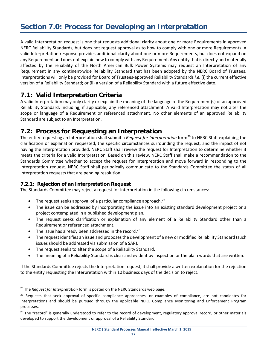<span id="page-29-0"></span>A valid Interpretation request is one that requests additional clarity about one or more Requirements in approved NERC Reliability Standards, but does not request approval as to how to comply with one or more Requirements. A valid Interpretation response provides additional clarity about one or more Requirements, but does not expand on any Requirement and does not explain how to comply with any Requirement. Any entity that is directly and materially affected by the reliability of the North American Bulk Power Systems may request an Interpretation of any Requirement in any continent-wide Reliability Standard that has been adopted by the NERC Board of Trustees. Interpretations will only be provided for Board of Trustees-approved Reliability Standards *i.e.* (i) the current effective version of a Reliability Standard; or (ii) a version of a Reliability Standard with a future effective date.

#### **7.1: Valid Interpretation Criteria**

A valid Interpretation may only clarify or explain the meaning of the language of the Requirement(s) of an approved Reliability Standard, including, if applicable, any referenced attachment. A valid Interpretation may not alter the scope or language of a Requirement or referenced attachment. No other elements of an approved Reliability Standard are subject to an Interpretation.

#### **7.2: Process for Requesting an Interpretation**

The entity requesting an Interpretation shall submit a *Request for Interpretation* form[26](#page-29-1) to NERC Staff explaining the clarification or explanation requested, the specific circumstances surrounding the request, and the impact of not having the Interpretation provided. NERC Staff shall review the request for Interpretation to determine whether it meets the criteria for a valid Interpretation. Based on this review, NERC Staff shall make a recommendation to the Standards Committee whether to accept the request for Interpretation and move forward in responding to the Interpretation request. NERC Staff shall periodically communicate to the Standards Committee the status of all Interpretation requests that are pending resolution.

#### **7.2.1: Rejection of an Interpretation Request**

The Standards Committee may reject a request for Interpretation in the following circumstances:

- $\bullet$  The request seeks approval of a particular compliance approach.<sup>[27](#page-29-2)</sup>
- The issue can be addressed by incorporating the issue into an existing standard development project or a project contemplated in a published development plan.
- The request seeks clarification or explanation of any element of a Reliability Standard other than a Requirement or referenced attachment.
- The issue has already been addressed in the record.<sup>[28](#page-29-3)</sup>
- The request identifies an issue and proposes the development of a new or modified Reliability Standard (such issues should be addressed via submission of a SAR).
- The request seeks to alter the scope of a Reliability Standard.
- The meaning of a Reliability Standard is clear and evident by inspection or the plain words that are written.

If the Standards Committee rejects the Interpretation request, it shall provide a written explanation for the rejection to the entity requesting the Interpretation within 10 business days of the decision to reject.

<span id="page-29-1"></span><sup>26</sup> The *Request for Interpretation* form is posted on the NERC Standards web page.

<span id="page-29-2"></span><sup>&</sup>lt;sup>27</sup> Requests that seek approval of specific compliance approaches, or examples of compliance, are not candidates for Interpretations and should be pursued through the applicable NERC Compliance Monitoring and Enforcement Program processes.

<span id="page-29-3"></span><sup>&</sup>lt;sup>28</sup> The "record" is generally understood to refer to the record of development, regulatory approval record, or other materials developed to support the development or approval of a Reliability Standard.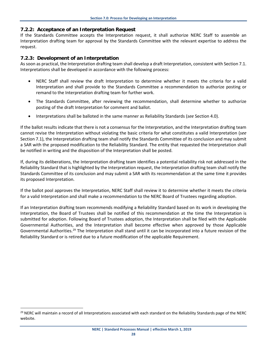#### **7.2.2: Acceptance of an Interpretation Request**

If the Standards Committee accepts the Interpretation request, it shall authorize NERC Staff to assemble an Interpretation drafting team for approval by the Standards Committee with the relevant expertise to address the request.

#### **7.2.3: Development of an Interpretation**

As soon as practical, the Interpretation drafting team shall develop a draft Interpretation, consistent with Section 7.1. Interpretations shall be developed in accordance with the following process:

- NERC Staff shall review the draft Interpretation to determine whether it meets the criteria for a valid Interpretation and shall provide to the Standards Committee a recommendation to authorize posting or remand to the Interpretation drafting team for further work.
- The Standards Committee, after reviewing the recommendation, shall determine whether to authorize posting of the draft Interpretation for comment and ballot.
- Interpretations shall be balloted in the same manner as Reliability Standards (*see* Section 4.0).

If the ballot results indicate that there is not a consensus for the Interpretation, and the Interpretation drafting team cannot revise the Interpretation without violating the basic criteria for what constitutes a valid Interpretation (*see*  Section 7.1), the Interpretation drafting team shall notify the Standards Committee of its conclusion and may submit a SAR with the proposed modification to the Reliability Standard. The entity that requested the Interpretation shall be notified in writing and the disposition of the Interpretation shall be posted.

If, during its deliberations, the Interpretation drafting team identifies a potential reliability risk not addressed in the Reliability Standard that is highlighted by the Interpretation request, the Interpretation drafting team shall notify the Standards Committee of its conclusion and may submit a SAR with its recommendation at the same time it provides its proposed Interpretation.

If the ballot pool approves the Interpretation, NERC Staff shall review it to determine whether it meets the criteria for a valid Interpretation and shall make a recommendation to the NERC Board of Trustees regarding adoption.

If an Interpretation drafting team recommends modifying a Reliability Standard based on its work in developing the Interpretation, the Board of Trustees shall be notified of this recommendation at the time the Interpretation is submitted for adoption. Following Board of Trustees adoption, the Interpretation shall be filed with the Applicable Governmental Authorities, and the Interpretation shall become effective when approved by those Applicable Governmental Authorities.<sup>[29](#page-30-0)</sup> The Interpretation shall stand until it can be incorporated into a future revision of the Reliability Standard or is retired due to a future modification of the applicable Requirement.

<span id="page-30-0"></span><sup>&</sup>lt;sup>29</sup> NERC will maintain a record of all Interpretations associated with each standard on the Reliability Standards page of the NERC website.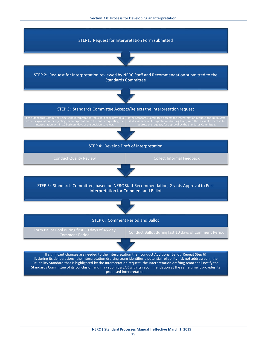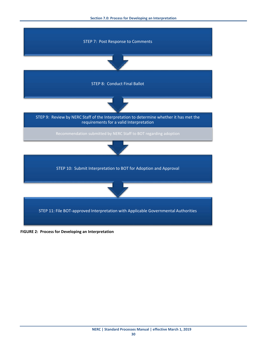

**FIGURE 2: Process for Developing an Interpretation**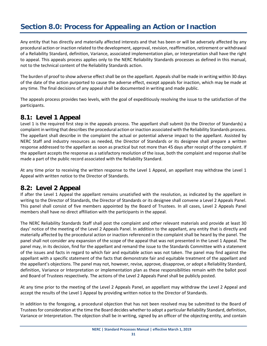# <span id="page-33-0"></span>**Section 8.0: Process for Appealing an Action or Inaction**

Any entity that has directly and materially affected interests and that has been or will be adversely affected by any procedural action or inaction related to the development, approval, revision, reaffirmation, retirement or withdrawal of a Reliability Standard, definition, Variance, associated implementation plan, or Interpretation shall have the right to appeal. This appeals process applies only to the NERC Reliability Standards processes as defined in this manual, not to the technical content of the Reliability Standards action.

The burden of proof to show adverse effect shall be on the appellant. Appeals shall be made in writing within 30 days of the date of the action purported to cause the adverse effect, except appeals for inaction, which may be made at any time. The final decisions of any appeal shall be documented in writing and made public.

The appeals process provides two levels, with the goal of expeditiously resolving the issue to the satisfaction of the participants.

#### **8.1: Level 1 Appeal**

Level 1 is the required first step in the appeals process. The appellant shall submit (to the Director of Standards) a complaint in writing that describes the procedural action or inaction associated with the Reliability Standards process. The appellant shall describe in the complaint the actual or potential adverse impact to the appellant. Assisted by NERC Staff and industry resources as needed, the Director of Standards or its designee shall prepare a written response addressed to the appellant as soon as practical but not more than 45 days after receipt of the complaint. If the appellant accepts the response as a satisfactory resolution of the issue, both the complaint and response shall be made a part of the public record associated with the Reliability Standard.

At any time prior to receiving the written response to the Level 1 Appeal, an appellant may withdraw the Level 1 Appeal with written notice to the Director of Standards.

#### **8.2: Level 2 Appeal**

If after the Level 1 Appeal the appellant remains unsatisfied with the resolution, as indicated by the appellant in writing to the Director of Standards, the Director of Standards or its designee shall convene a Level 2 Appeals Panel. This panel shall consist of five members appointed by the Board of Trustees. In all cases, Level 2 Appeals Panel members shall have no direct affiliation with the participants in the appeal.

The NERC Reliability Standards Staff shall post the complaint and other relevant materials and provide at least 30 days' notice of the meeting of the Level 2 Appeals Panel. In addition to the appellant, any entity that is directly and materially affected by the procedural action or inaction referenced in the complaint shall be heard by the panel. The panel shall not consider any expansion of the scope of the appeal that was not presented in the Level 1 Appeal. The panel may, in its decision, find for the appellant and remand the issue to the Standards Committee with a statement of the issues and facts in regard to which fair and equitable action was not taken. The panel may find against the appellant with a specific statement of the facts that demonstrate fair and equitable treatment of the appellant and the appellant's objections. The panel may not, however, revise, approve, disapprove, or adopt a Reliability Standard, definition, Variance or Interpretation or implementation plan as these responsibilities remain with the ballot pool and Board of Trustees respectively. The actions of the Level 2 Appeals Panel shall be publicly posted.

At any time prior to the meeting of the Level 2 Appeals Panel, an appellant may withdraw the Level 2 Appeal and accept the results of the Level 1 Appeal by providing written notice to the Director of Standards.

In addition to the foregoing, a procedural objection that has not been resolved may be submitted to the Board of Trustees for consideration at the time the Board decides whether to adopt a particular Reliability Standard, definition, Variance or Interpretation. The objection shall be in writing, signed by an officer of the objecting entity, and contain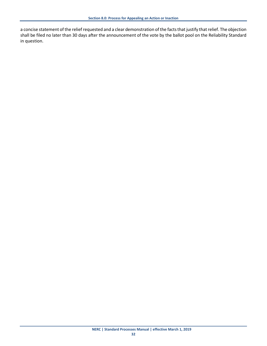a concise statement of the relief requested and a clear demonstration of the facts that justify that relief. The objection shall be filed no later than 30 days after the announcement of the vote by the ballot pool on the Reliability Standard in question.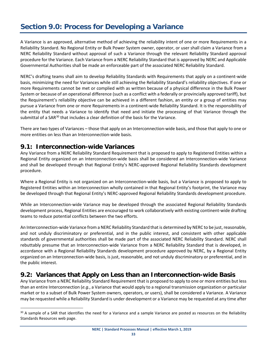# <span id="page-35-0"></span>**Section 9.0: Process for Developing a Variance**

A Variance is an approved, alternative method of achieving the reliability intent of one or more Requirements in a Reliability Standard. No Regional Entity or Bulk Power System owner, operator, or user shall claim a Variance from a NERC Reliability Standard without approval of such a Variance through the relevant Reliability Standard approval procedure for the Variance. Each Variance from a NERC Reliability Standard that is approved by NERC and Applicable Governmental Authorities shall be made an enforceable part of the associated NERC Reliability Standard.

NERC's drafting teams shall aim to develop Reliability Standards with Requirements that apply on a continent-wide basis, minimizing the need for Variances while still achieving the Reliability Standard's reliability objectives. If one or more Requirements cannot be met or complied with as written because of a physical difference in the Bulk Power System or because of an operational difference (such as a conflict with a federally or provincially approved tariff), but the Requirement's reliability objective can be achieved in a different fashion, an entity or a group of entities may pursue a Variance from one or more Requirements in a continent-wide Reliability Standard. It is the responsibility of the entity that needs a Variance to identify that need and initiate the processing of that Variance through the submittal of a SAR $30$  that includes a clear definition of the basis for the Variance.

There are two types of Variances – those that apply on an Interconnection-wide basis, and those that apply to one or more entities on less than an Interconnection-wide basis.

#### **9.1: Interconnection-wide Variances**

Any Variance from a NERC Reliability Standard Requirement that is proposed to apply to Registered Entities within a Regional Entity organized on an Interconnection-wide basis shall be considered an Interconnection-wide Variance and shall be developed through that Regional Entity's NERC-approved Regional Reliability Standards development procedure.

Where a Regional Entity is not organized on an Interconnection-wide basis, but a Variance is proposed to apply to Registered Entities within an Interconnection wholly contained in that Regional Entity's footprint, the Variance may be developed through that Regional Entity's NERC-approved Regional Reliability Standards development procedure.

While an Interconnection-wide Variance may be developed through the associated Regional Reliability Standards development process, Regional Entities are encouraged to work collaboratively with existing continent-wide drafting teams to reduce potential conflicts between the two efforts.

An Interconnection-wide Variance from a NERC Reliability Standard that is determined by NERC to be just, reasonable, and not unduly discriminatory or preferential, and in the public interest, and consistent with other applicable standards of governmental authorities shall be made part of the associated NERC Reliability Standard. NERC shall rebuttably presume that an Interconnection-wide Variance from a NERC Reliability Standard that is developed, in accordance with a Regional Reliability Standards development procedure approved by NERC, by a Regional Entity organized on an Interconnection-wide basis, is just, reasonable, and not unduly discriminatory or preferential, and in the public interest.

#### **9.2: Variances that Apply on Less than an Interconnection-wide Basis**

Any Variance from a NERC Reliability Standard Requirement that is proposed to apply to one or more entities but less than an entire Interconnection (*e.g.*, a Variance that would apply to a regional transmission organization or particular market or to a subset of Bulk Power System owners, operators, or users), shall be considered a Variance. A Variance may be requested while a Reliability Standard is under development or a Variance may be requested at any time after

<span id="page-35-1"></span><sup>&</sup>lt;sup>30</sup> A sample of a SAR that identifies the need for a Variance and a sample Variance are posted as resources on the Reliability Standards Resources web page.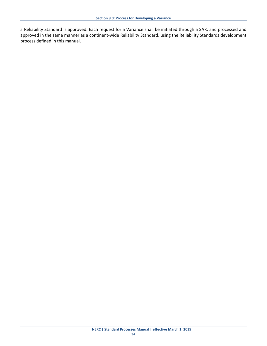a Reliability Standard is approved. Each request for a Variance shall be initiated through a SAR, and processed and approved in the same manner as a continent-wide Reliability Standard, using the Reliability Standards development process defined in this manual.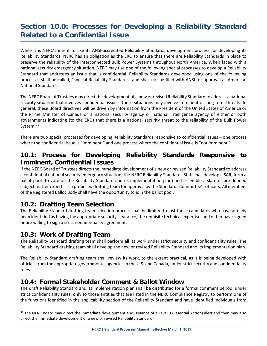# <span id="page-37-0"></span>**Section 10.0: Processes for Developing a Reliability Standard Related to a Confidential Issue**

While it is NERC's intent to use its ANSI-accredited Reliability Standards development process for developing its Reliability Standards, NERC has an obligation as the ERO to ensure that there are Reliability Standards in place to preserve the reliability of the interconnected Bulk Power Systems throughout North America. When faced with a national security emergency situation, NERC may use one of the following special processes to develop a Reliability Standard that addresses an issue that is confidential. Reliability Standards developed using one of the following processes shall be called, "special Reliability Standards" and shall not be filed with ANSI for approval as American National Standards.

The NERC Board of Trustees may direct the development of a new or revised Reliability Standard to address a national security situation that involves confidential issues. These situations may involve imminent or long-term threats. In general, these Board directives will be driven by information from the President of the United States of America or the Prime Minister of Canada or a national security agency or national intelligence agency of either or both governments indicating (to the ERO) that there is a national security threat to the reliability of the Bulk Power System.<sup>[31](#page-37-1)</sup>

There are two special processes for developing Reliability Standards responsive to confidential issues – one process where the confidential issue is "imminent," and one process where the confidential issue is "not imminent."

#### **10.1: Process for Developing Reliability Standards Responsive to Imminent, Confidential Issues**

If the NERC Board of Trustees directs the immediate development of a new or revised Reliability Standard to address a confidential national security emergency situation, the NERC Reliability Standards Staff shall develop a SAR, form a ballot pool (to vote on the Reliability Standard and its implementation plan) and assemble a slate of pre-defined subject matter experts as a proposed drafting team for approval by the Standards Committee's officers. All members of the Registered Ballot Body shall have the opportunity to join the ballot pool.

#### **10.2: Drafting Team Selection**

The Reliability Standard drafting team selection process shall be limited to just those candidates who have already been identified as having the appropriate security clearance, the requisite technical expertise, and either have signed or are willing to sign a strict confidentiality agreement.

#### **10.3: Work of Drafting Team**

The Reliability Standard drafting team shall perform all its work under strict security and confidentiality rules. The Reliability Standard drafting team shall develop the new or revised Reliability Standard and its implementation plan.

The Reliability Standard drafting team shall review its work, to the extent practical, as it is being developed with officials from the appropriate governmental agencies in the U.S. and Canada, under strict security and confidentiality rules.

#### **10.4: Formal Stakeholder Comment & Ballot Window**

The draft Reliability Standard and its implementation plan shall be distributed for a formal comment period, under strict confidentiality rules, only to those entities that are listed in the NERC Compliance Registry to perform one of the functions identified in the applicability section of the Reliability Standard and have identified individuals from

<span id="page-37-1"></span><sup>&</sup>lt;sup>31</sup> The NERC Board may direct the immediate development and issuance of a Level 3 (Essential Action) alert and then may also direct the immediate development of a new or revised Reliability Standard.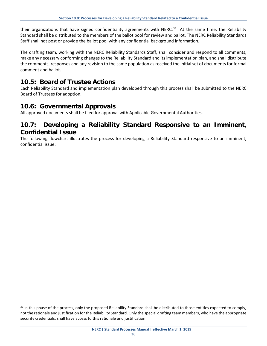their organizations that have signed confidentiality agreements with NERC.<sup>[32](#page-38-0)</sup> At the same time, the Reliability Standard shall be distributed to the members of the ballot pool for review and ballot. The NERC Reliability Standards Staff shall not post or provide the ballot pool with any confidential background information.

The drafting team, working with the NERC Reliability Standards Staff, shall consider and respond to all comments, make any necessary conforming changes to the Reliability Standard and its implementation plan, and shall distribute the comments, responses and any revision to the same population as received the initial set of documents for formal comment and ballot.

#### **10.5: Board of Trustee Actions**

Each Reliability Standard and implementation plan developed through this process shall be submitted to the NERC Board of Trustees for adoption.

#### **10.6: Governmental Approvals**

All approved documents shall be filed for approval with Applicable Governmental Authorities.

#### **10.7: Developing a Reliability Standard Responsive to an Imminent, Confidential Issue**

The following flowchart illustrates the process for developing a Reliability Standard responsive to an imminent, confidential issue:

<span id="page-38-0"></span><sup>&</sup>lt;sup>32</sup> In this phase of the process, only the proposed Reliability Standard shall be distributed to those entities expected to comply, not the rationale and justification for the Reliability Standard. Only the special drafting team members, who have the appropriate security credentials, shall have access to this rationale and justification.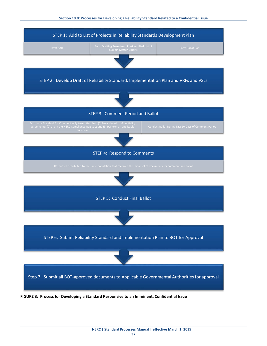

**FIGURE 3: Process for Developing a Standard Responsive to an Imminent, Confidential Issue**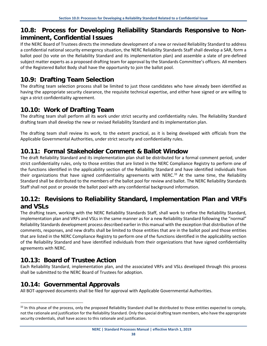#### **10.8: Process for Developing Reliability Standards Responsive to Nonimminent, Confidential Issues**

If the NERC Board of Trustees directs the immediate development of a new or revised Reliability Standard to address a confidential national security emergency situation, the NERC Reliability Standards Staff shall develop a SAR, form a ballot pool (to vote on the Reliability Standard and its implementation plan) and assemble a slate of pre-defined subject matter experts as a proposed drafting team for approval by the Standards Committee's officers. All members of the Registered Ballot Body shall have the opportunity to join the ballot pool.

#### **10.9: Drafting Team Selection**

The drafting team selection process shall be limited to just those candidates who have already been identified as having the appropriate security clearance, the requisite technical expertise, and either have signed or are willing to sign a strict confidentiality agreement.

#### **10.10: Work of Drafting Team**

The drafting team shall perform all its work under strict security and confidentiality rules. The Reliability Standard drafting team shall develop the new or revised Reliability Standard and its implementation plan.

The drafting team shall review its work, to the extent practical, as it is being developed with officials from the Applicable Governmental Authorities, under strict security and confidentiality rules.

#### **10.11: Formal Stakeholder Comment & Ballot Window**

The draft Reliability Standard and its implementation plan shall be distributed for a formal comment period, under strict confidentiality rules, only to those entities that are listed in the NERC Compliance Registry to perform one of the functions identified in the applicability section of the Reliability Standard and have identified individuals from their organizations that have signed confidentiality agreements with NERC.<sup>33</sup> At the same time, the Reliability Standard shall be distributed to the members of the ballot pool for review and ballot. The NERC Reliability Standards Staff shall not post or provide the ballot pool with any confidential background information.

#### **10.12: Revisions to Reliability Standard, Implementation Plan and VRFs and VSLs**

The drafting team, working with the NERC Reliability Standards Staff, shall work to refine the Reliability Standard, implementation plan and VRFs and VSLs in the same manner as for a new Reliability Standard following the "normal" Reliability Standards development process described earlier in this manual with the exception that distribution of the comments, responses, and new drafts shall be limited to those entities that are in the ballot pool and those entities that are listed in the NERC Compliance Registry to perform one of the functions identified in the applicability section of the Reliability Standard and have identified individuals from their organizations that have signed confidentiality agreements with NERC.

#### **10.13: Board of Trustee Action**

Each Reliability Standard, implementation plan, and the associated VRFs and VSLs developed through this process shall be submitted to the NERC Board of Trustees for adoption.

#### **10.14: Governmental Approvals**

All BOT-approved documents shall be filed for approval with Applicable Governmental Authorities.

<span id="page-40-0"></span><sup>33</sup> In this phase of the process, only the proposed Reliability Standard shall be distributed to those entities expected to comply, not the rationale and justification for the Reliability Standard. Only the special drafting team members, who have the appropriate security credentials, shall have access to this rationale and justification.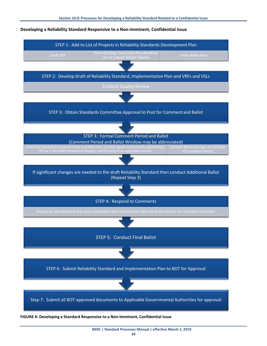# STEP 5: Conduct Final Ballot STEP 4: Respond to Comments If significant changes are needed to the draft Reliability Standard then conduct Additional Ballot (Repeat Step 3) STEP 3: Formal Comment Period and Ballot (Comment Period and Ballot Window may be abbreviated) Conduct Ballot During Last 10 Days STEP 3: Obtain Standards Committee Approval to Post for Comment and Ballot STEP 2: Develop Draft of Reliability Standard, Implementation Plan and VRFs and VSLs STEP 1: Add to List of Projects in Reliability Standards Development Plan

#### **Developing a Reliability Standard Responsive to a Non-imminent, Confidential Issue**

STEP 6: Submit Reliability Standard and Implementation Plan to BOT for Approval



Step 7: Submit all BOT-approved documents to Applicable Governmental Authorities for approval

**FIGURE 4: Developing a Standard Responsive to a Non-Imminent, Confidential Issue**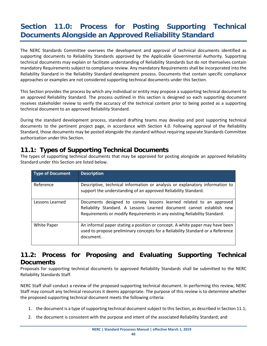# <span id="page-42-0"></span>**Section 11.0: Process for Posting Supporting Technical Documents Alongside an Approved Reliability Standard**

The NERC Standards Committee oversees the development and approval of technical documents identified as supporting documents to Reliability Standards approved by the Applicable Governmental Authority. Supporting technical documents may explain or facilitate understanding of Reliability Standards but do not themselves contain mandatory Requirements subject to compliance review. Any mandatory Requirements shall be incorporated into the Reliability Standard in the Reliability Standard development process. Documents that contain specific compliance approaches or examples are not considered supporting technical documents under this Section.

This Section provides the process by which any individual or entity may propose a supporting technical document to an approved Reliability Standard. The process outlined in this section is designed so each supporting document receives stakeholder review to verify the accuracy of the technical content prior to being posted as a supporting technical document to an approved Reliability Standard.

During the standard development process, standard drafting teams may develop and post supporting technical documents to the pertinent project page, in accordance with Section 4.0. Following approval of the Reliability Standard, those documents may be posted alongside the standard without requiring separate Standards Committee authorization under this Section.

#### **11.1: Types of Supporting Technical Documents**

The types of supporting technical documents that may be approved for posting alongside an approved Reliability Standard under this Section are listed below.

| <b>Type of Document</b> | <b>Description</b>                                                                                                                                                                                                        |
|-------------------------|---------------------------------------------------------------------------------------------------------------------------------------------------------------------------------------------------------------------------|
| Reference               | Descriptive, technical information or analysis or explanatory information to<br>support the understanding of an approved Reliability Standard.                                                                            |
| Lessons Learned         | Documents designed to convey lessons learned related to an approved<br>Reliability Standard. A Lessons Learned document cannot establish new<br>Requirements or modify Requirements in any existing Reliability Standard. |
| White Paper             | An informal paper stating a position or concept. A white paper may have been<br>used to propose preliminary concepts for a Reliability Standard or a Reference<br>document.                                               |

#### **11.2: Process for Proposing and Evaluating Supporting Technical Documents**

Proposals for supporting technical documents to approved Reliability Standards shall be submitted to the NERC Reliability Standards Staff.

NERC Staff shall conduct a review of the proposed supporting technical document. In performing this review, NERC Staff may consult any technical resources it deems appropriate. The purpose of this review is to determine whether the proposed supporting technical document meets the following criteria:

- 1. the document is a type of supporting technical document subject to this Section, as described in Section 11.1;
- 2. the document is consistent with the purpose and intent of the associated Reliability Standard; and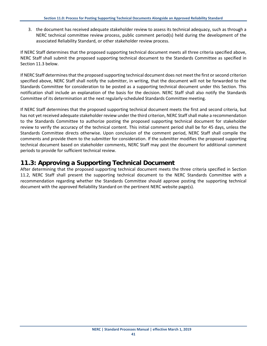3. the document has received adequate stakeholder review to assess its technical adequacy, such as through a NERC technical committee review process, public comment period(s) held during the development of the associated Reliability Standard, or other stakeholder review process.

If NERC Staff determines that the proposed supporting technical document meets all three criteria specified above, NERC Staff shall submit the proposed supporting technical document to the Standards Committee as specified in Section 11.3 below.

If NERC Staff determines that the proposed supporting technical document does not meet the first or second criterion specified above, NERC Staff shall notify the submitter, in writing, that the document will not be forwarded to the Standards Committee for consideration to be posted as a supporting technical document under this Section. This notification shall include an explanation of the basis for the decision. NERC Staff shall also notify the Standards Committee of its determination at the next regularly-scheduled Standards Committee meeting.

If NERC Staff determines that the proposed supporting technical document meets the first and second criteria, but has not yet received adequate stakeholder review under the third criterion, NERC Staff shall make a recommendation to the Standards Committee to authorize posting the proposed supporting technical document for stakeholder review to verify the accuracy of the technical content. This initial comment period shall be for 45 days, unless the Standards Committee directs otherwise. Upon conclusion of the comment period, NERC Staff shall compile the comments and provide them to the submitter for consideration. If the submitter modifies the proposed supporting technical document based on stakeholder comments, NERC Staff may post the document for additional comment periods to provide for sufficient technical review.

#### **11.3: Approving a Supporting Technical Document**

After determining that the proposed supporting technical document meets the three criteria specified in Section 11.2, NERC Staff shall present the supporting technical document to the NERC Standards Committee with a recommendation regarding whether the Standards Committee should approve posting the supporting technical document with the approved Reliability Standard on the pertinent NERC website page(s).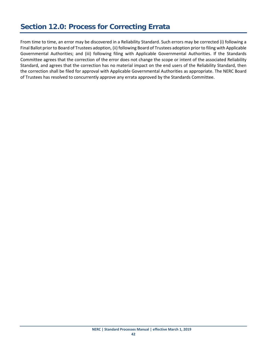### <span id="page-44-0"></span>**Section 12.0: Process for Correcting Errata**

From time to time, an error may be discovered in a Reliability Standard. Such errors may be corrected (i) following a Final Ballot prior to Board of Trustees adoption, (ii) following Board of Trustees adoption prior to filing with Applicable Governmental Authorities; and (iii) following filing with Applicable Governmental Authorities. If the Standards Committee agrees that the correction of the error does not change the scope or intent of the associated Reliability Standard, and agrees that the correction has no material impact on the end users of the Reliability Standard, then the correction shall be filed for approval with Applicable Governmental Authorities as appropriate. The NERC Board of Trustees has resolved to concurrently approve any errata approved by the Standards Committee.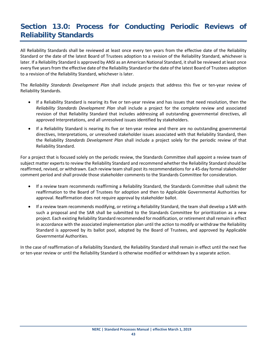## <span id="page-45-0"></span>**Section 13.0: Process for Conducting Periodic Reviews of Reliability Standards**

All Reliability Standards shall be reviewed at least once every ten years from the effective date of the Reliability Standard or the date of the latest Board of Trustees adoption to a revision of the Reliability Standard, whichever is later. If a Reliability Standard is approved by ANSI as an American National Standard, it shall be reviewed at least once every five years from the effective date of the Reliability Standard or the date of the latest Board of Trustees adoption to a revision of the Reliability Standard, whichever is later.

The *Reliability Standards Development Plan* shall include projects that address this five or ten-year review of Reliability Standards.

- If a Reliability Standard is nearing its five or ten-year review and has issues that need resolution, then the *Reliability Standards Development Plan* shall include a project for the complete review and associated revision of that Reliability Standard that includes addressing all outstanding governmental directives, all approved Interpretations, and all unresolved issues identified by stakeholders.
- If a Reliability Standard is nearing its five or ten-year review and there are no outstanding governmental directives, Interpretations, or unresolved stakeholder issues associated with that Reliability Standard, then the Reliability *Standards Development Plan* shall include a project solely for the periodic review of that Reliability Standard.

For a project that is focused solely on the periodic review, the Standards Committee shall appoint a review team of subject matter experts to review the Reliability Standard and recommend whether the Reliability Standard should be reaffirmed, revised, or withdrawn. Each review team shall post its recommendations for a 45-day formal stakeholder comment period and shall provide those stakeholder comments to the Standards Committee for consideration.

- If a review team recommends reaffirming a Reliability Standard, the Standards Committee shall submit the reaffirmation to the Board of Trustees for adoption and then to Applicable Governmental Authorities for approval. Reaffirmation does not require approval by stakeholder ballot.
- If a review team recommends modifying, or retiring a Reliability Standard, the team shall develop a SAR with such a proposal and the SAR shall be submitted to the Standards Committee for prioritization as a new project. Each existing Reliability Standard recommended for modification, or retirement shall remain in effect in accordance with the associated implementation plan until the action to modify or withdraw the Reliability Standard is approved by its ballot pool, adopted by the Board of Trustees, and approved by Applicable Governmental Authorities.

In the case of reaffirmation of a Reliability Standard, the Reliability Standard shall remain in effect until the next five or ten-year review or until the Reliability Standard is otherwise modified or withdrawn by a separate action.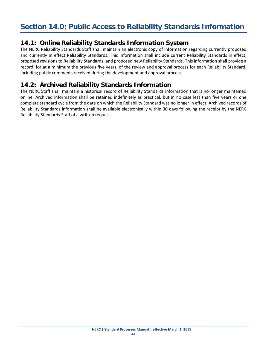#### <span id="page-46-0"></span>**14.1: Online Reliability Standards Information System**

The NERC Reliability Standards Staff shall maintain an electronic copy of information regarding currently proposed and currently in effect Reliability Standards. This information shall include current Reliability Standards in effect, proposed revisions to Reliability Standards, and proposed new Reliability Standards. This information shall provide a record, for at a minimum the previous five years, of the review and approval process for each Reliability Standard, including public comments received during the development and approval process.

#### **14.2: Archived Reliability Standards Information**

The NERC Staff shall maintain a historical record of Reliability Standards information that is no longer maintained online. Archived information shall be retained indefinitely as practical, but in no case less than five years or one complete standard cycle from the date on which the Reliability Standard was no longer in effect. Archived records of Reliability Standards information shall be available electronically within 30 days following the receipt by the NERC Reliability Standards Staff of a written request.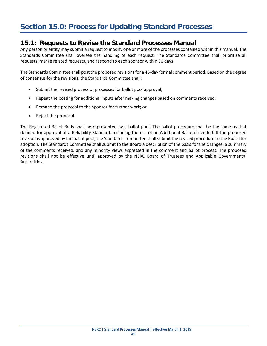#### <span id="page-47-0"></span>**15.1: Requests to Revise the Standard Processes Manual**

Any person or entity may submit a request to modify one or more of the processes contained within this manual. The Standards Committee shall oversee the handling of each request. The Standards Committee shall prioritize all requests, merge related requests, and respond to each sponsor within 30 days.

The Standards Committee shall post the proposed revisions for a 45-day formal comment period. Based on the degree of consensus for the revisions, the Standards Committee shall:

- Submit the revised process or processes for ballot pool approval;
- Repeat the posting for additional inputs after making changes based on comments received;
- Remand the proposal to the sponsor for further work; or
- Reject the proposal.

The Registered Ballot Body shall be represented by a ballot pool. The ballot procedure shall be the same as that defined for approval of a Reliability Standard, including the use of an Additional Ballot if needed. If the proposed revision is approved by the ballot pool, the Standards Committee shall submit the revised procedure to the Board for adoption. The Standards Committee shall submit to the Board a description of the basis for the changes, a summary of the comments received, and any minority views expressed in the comment and ballot process. The proposed revisions shall not be effective until approved by the NERC Board of Trustees and Applicable Governmental Authorities.